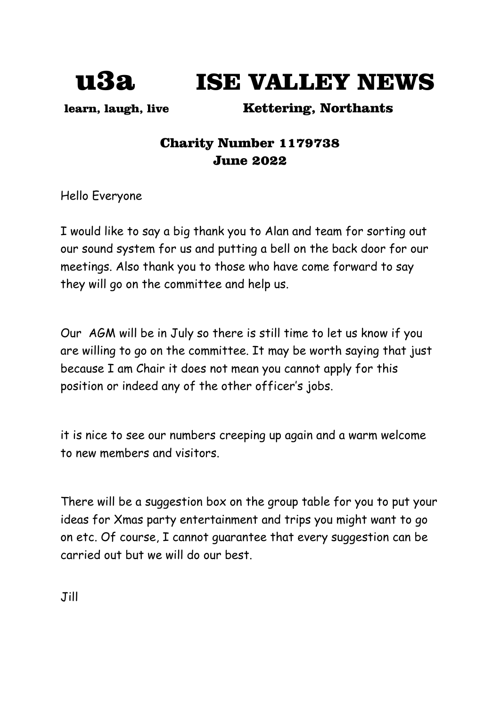

u3a ISE VALLEY NEWS

learn, laugh, live Kettering, Northants

# Charity Number 1179738 June 2022

Hello Everyone

I would like to say a big thank you to Alan and team for sorting out our sound system for us and putting a bell on the back door for our meetings. Also thank you to those who have come forward to say they will go on the committee and help us.

Our AGM will be in July so there is still time to let us know if you are willing to go on the committee. It may be worth saying that just because I am Chair it does not mean you cannot apply for this position or indeed any of the other officer's jobs.

it is nice to see our numbers creeping up again and a warm welcome to new members and visitors.

There will be a suggestion box on the group table for you to put your ideas for Xmas party entertainment and trips you might want to go on etc. Of course, I cannot guarantee that every suggestion can be carried out but we will do our best.

Jill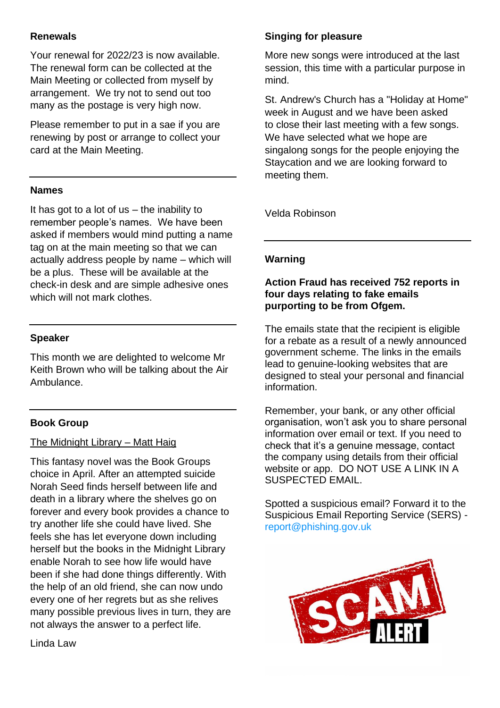## **Renewals**

Your renewal for 2022/23 is now available. The renewal form can be collected at the Main Meeting or collected from myself by arrangement. We try not to send out too many as the postage is very high now.

Please remember to put in a sae if you are renewing by post or arrange to collect your card at the Main Meeting.

### **Names**

It has got to a lot of us – the inability to remember people's names. We have been asked if members would mind putting a name tag on at the main meeting so that we can actually address people by name – which will be a plus. These will be available at the check-in desk and are simple adhesive ones which will not mark clothes.

### **Speaker**

This month we are delighted to welcome Mr Keith Brown who will be talking about the Air Ambulance.

### **Book Group**

### The Midnight Library – Matt Haig

This fantasy novel was the Book Groups choice in April. After an attempted suicide Norah Seed finds herself between life and death in a library where the shelves go on forever and every book provides a chance to try another life she could have lived. She feels she has let everyone down including herself but the books in the Midnight Library enable Norah to see how life would have been if she had done things differently. With the help of an old friend, she can now undo every one of her regrets but as she relives many possible previous lives in turn, they are not always the answer to a perfect life.

**Singing for pleasure**

More new songs were introduced at the last session, this time with a particular purpose in mind.

St. Andrew's Church has a "Holiday at Home" week in August and we have been asked to close their last meeting with a few songs. We have selected what we hope are singalong songs for the people enjoying the Staycation and we are looking forward to meeting them.

Velda Robinson

### **Warning**

### **Action Fraud has received 752 reports in four days relating to fake emails purporting to be from Ofgem.**

The emails state that the recipient is eligible for a rebate as a result of a newly announced government scheme. The links in the emails lead to genuine-looking websites that are designed to steal your personal and financial information.

Remember, your bank, or any other official organisation, won't ask you to share personal information over email or text. If you need to check that it's a genuine message, contact the company using details from their official website or app. DO NOT USE A LINK IN A SUSPECTED EMAIL.

Spotted a suspicious email? Forward it to the Suspicious Email Reporting Service (SERS) [report@phishing.gov.uk](mailto:report@phishing.gov.uk)



Linda Law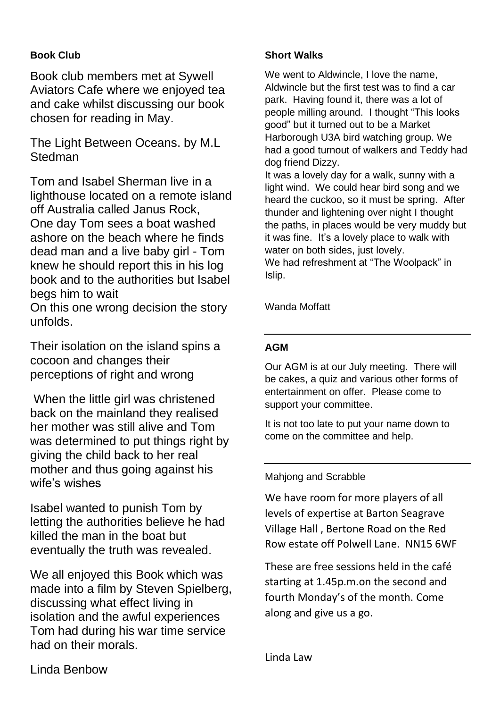## **Book Club**

Book club members met at Sywell Aviators Cafe where we enjoyed tea and cake whilst discussing our book chosen for reading in May.

The Light Between Oceans. by M.L **Stedman** 

Tom and Isabel Sherman live in a lighthouse located on a remote island off Australia called Janus Rock, One day Tom sees a boat washed ashore on the beach where he finds dead man and a live baby girl - Tom knew he should report this in his log book and to the authorities but Isabel begs him to wait

On this one wrong decision the story unfolds.

Their isolation on the island spins a cocoon and changes their perceptions of right and wrong

When the little girl was christened back on the mainland they realised her mother was still alive and Tom was determined to put things right by giving the child back to her real mother and thus going against his wife's wishes

Isabel wanted to punish Tom by letting the authorities believe he had killed the man in the boat but eventually the truth was revealed.

We all enjoyed this Book which was made into a film by Steven Spielberg, discussing what effect living in isolation and the awful experiences Tom had during his war time service had on their morals.

## **Short Walks**

We went to Aldwincle, I love the name, Aldwincle but the first test was to find a car park. Having found it, there was a lot of people milling around. I thought "This looks good" but it turned out to be a Market Harborough U3A bird watching group. We had a good turnout of walkers and Teddy had dog friend Dizzy.

It was a lovely day for a walk, sunny with a light wind. We could hear bird song and we heard the cuckoo, so it must be spring. After thunder and lightening over night I thought the paths, in places would be very muddy but it was fine. It's a lovely place to walk with water on both sides, just lovely. We had refreshment at "The Woolpack" in Islip.

Wanda Moffatt

## **AGM**

Our AGM is at our July meeting. There will be cakes, a quiz and various other forms of entertainment on offer. Please come to support your committee.

It is not too late to put your name down to come on the committee and help.

## Mahjong and Scrabble

We have room for more players of all levels of expertise at Barton Seagrave Village Hall , Bertone Road on the Red Row estate off Polwell Lane. NN15 6WF

These are free sessions held in the café starting at 1.45p.m.on the second and fourth Monday's of the month. Come along and give us a go.

Linda Law

Linda Benbow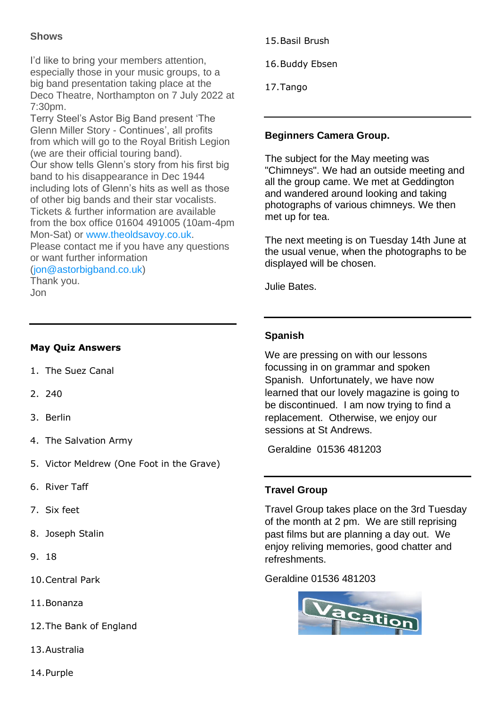## **Shows**

I'd like to bring your members attention, especially those in your music groups, to a big band presentation taking place at the Deco Theatre, Northampton on 7 July 2022 at 7:30pm.

Terry Steel's Astor Big Band present 'The Glenn Miller Story - Continues', all profits from which will go to the Royal British Legion (we are their official touring band). Our show tells Glenn's story from his first big band to his disappearance in Dec 1944 including lots of Glenn's hits as well as those of other big bands and their star vocalists. Tickets & further information are available from the box office 01604 491005 (10am-4pm Mon-Sat) or [www.theoldsavoy.co.uk.](https://nam12.safelinks.protection.outlook.com/?url=http%3A%2F%2Fwww.theoldsavoy.co.uk%2F&data=05%7C01%7C%7C843f2d74d6b44f02f1e308da39c0a108%7C84df9e7fe9f640afb435aaaaaaaaaaaa%7C1%7C0%7C637885796736577733%7CUnknown%7CTWFpbGZsb3d8eyJWIjoiMC4wLjAwMDAiLCJQIjoiV2luMzIiLCJBTiI6Ik1haWwiLCJXVCI6Mn0%3D%7C3000%7C%7C%7C&sdata=TZ2VAKDQTgN07AO86XPveNNObYUdy3V5Wp22WEIVIWw%3D&reserved=0) Please contact me if you have any questions

or want further information

[\(jon@astorbigband.co.uk\)](mailto:jon@astorbigband.co.uk)

Thank you. Jon

## **May Quiz Answers**

- 1. The Suez Canal
- 2. 240
- 3. Berlin
- 4. The Salvation Army
- 5. Victor Meldrew (One Foot in the Grave)
- 6. River Taff
- 7. Six feet
- 8. Joseph Stalin
- 9. 18
- 10.Central Park
- 11.Bonanza
- 12.The Bank of England
- 13.Australia
- 15.Basil Brush
- 16.Buddy Ebsen
- 17.Tango

## **Beginners Camera Group.**

The subject for the May meeting was "Chimneys". We had an outside meeting and all the group came. We met at Geddington and wandered around looking and taking photographs of various chimneys. We then met up for tea.

The next meeting is on Tuesday 14th June at the usual venue, when the photographs to be displayed will be chosen.

Julie Bates.

## **Spanish**

We are pressing on with our lessons focussing in on grammar and spoken Spanish. Unfortunately, we have now learned that our lovely magazine is going to be discontinued. I am now trying to find a replacement. Otherwise, we enjoy our sessions at St Andrews.

Geraldine 01536 481203

## **Travel Group**

Travel Group takes place on the 3rd Tuesday of the month at 2 pm. We are still reprising past films but are planning a day out. We enjoy reliving memories, good chatter and refreshments.

Geraldine 01536 481203



14.Purple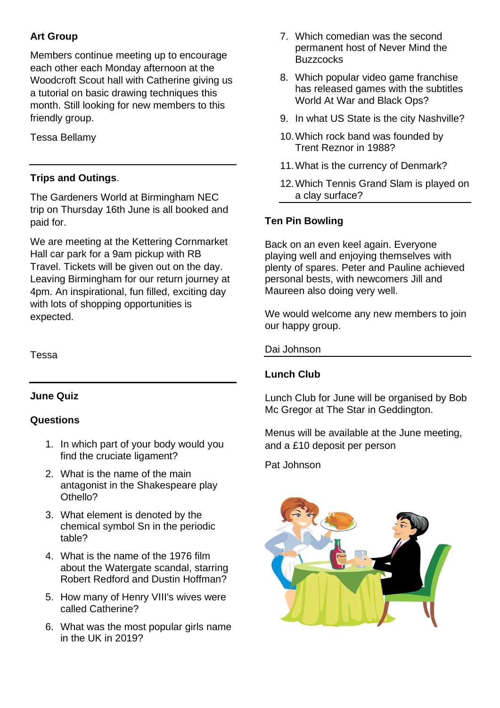## **Art Group**

Members continue meeting up to encourage each other each Monday afternoon at the Woodcroft Scout hall with Catherine giving us a tutorial on basic drawing techniques this month. Still looking for new members to this friendly group.

Tessa Bellamy

## **Trips and Outings**.

The Gardeners World at Birmingham NEC trip on Thursday 16th June is all booked and paid for.

We are meeting at the Kettering Cornmarket Hall car park for a 9am pickup with RB Travel. Tickets will be given out on the day. Leaving Birmingham for our return journey at 4pm. An inspirational, fun filled, exciting day with lots of shopping opportunities is expected.

Tessa

## **June Quiz**

## **Questions**

- 1. In which part of your body would you find the cruciate ligament?
- 2. What is the name of the main antagonist in the Shakespeare play Othello?
- 3. What element is denoted by the chemical symbol Sn in the periodic table?
- 4. What is the name of the 1976 film about the Watergate scandal, starring Robert Redford and Dustin Hoffman?
- 5. How many of Henry VIII's wives were called Catherine?
- 6. What was the most popular girls name in the UK in 2019?
- 7. Which comedian was the second permanent host of Never Mind the **Buzzcocks**
- 8. Which popular video game franchise has released games with the subtitles World At War and Black Ops?
- 9. In what US State is the city Nashville?
- 10.Which rock band was founded by Trent Reznor in 1988?
- 11.What is the currency of Denmark?
- 12.Which Tennis Grand Slam is played on a clay surface?

## **Ten Pin Bowling**

Back on an even keel again. Everyone playing well and enjoying themselves with plenty of spares. Peter and Pauline achieved personal bests, with newcomers Jill and Maureen also doing very well.

We would welcome any new members to join our happy group.

Dai Johnson

## **Lunch Club**

Lunch Club for June will be organised by Bob Mc Gregor at The Star in Geddington.

Menus will be available at the June meeting, and a £10 deposit per person

Pat Johnson

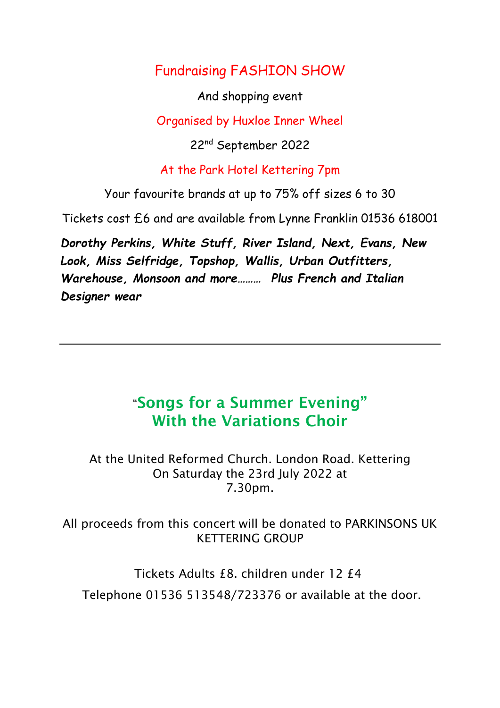# Fundraising FASHION SHOW

And shopping event

Organised by Huxloe Inner Wheel

22nd September 2022

## At the Park Hotel Kettering 7pm

Your favourite brands at up to 75% off sizes 6 to 30

Tickets cost £6 and are available from Lynne Franklin 01536 618001

*Dorothy Perkins, White Stuff, River Island, Next, Evans, New Look, Miss Selfridge, Topshop, Wallis, Urban Outfitters, Warehouse, Monsoon and more……… Plus French and Italian Designer wear*

# "**Songs for a Summer Evening" With the Variations Choir**

At the United Reformed Church. London Road. Kettering On Saturday the 23rd July 2022 at 7.30pm.

All proceeds from this concert will be donated to PARKINSONS UK KETTERING GROUP

Tickets Adults £8. children under 12 £4

Telephone 01536 513548/723376 or available at the door.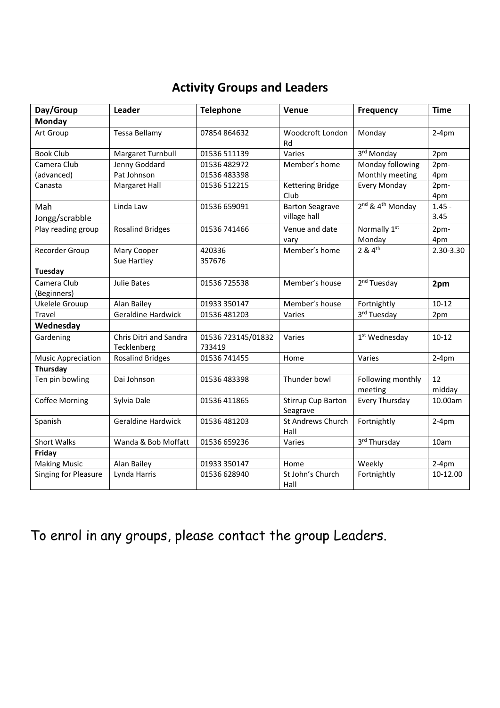# **Activity Groups and Leaders**

| Day/Group                  | Leader                                | <b>Telephone</b>             | Venue                                 | <b>Frequency</b>                         | <b>Time</b>  |
|----------------------------|---------------------------------------|------------------------------|---------------------------------------|------------------------------------------|--------------|
| Monday                     |                                       |                              |                                       |                                          |              |
| Art Group                  | <b>Tessa Bellamy</b>                  | 07854864632                  | Woodcroft London<br>Rd                | Monday                                   | $2-4pm$      |
| <b>Book Club</b>           | Margaret Turnbull                     | 01536 511139                 | Varies                                | 3rd Monday                               | 2pm          |
| Camera Club                | Jenny Goddard                         | 01536 482972                 | Member's home                         | Monday following                         | 2pm-         |
| (advanced)                 | Pat Johnson                           | 01536 483398                 |                                       | Monthly meeting                          | 4pm          |
| Canasta                    | Margaret Hall                         | 01536 512215                 | Kettering Bridge<br>Club              | <b>Every Monday</b>                      | 2pm-<br>4pm  |
| Mah                        | Linda Law                             | 01536 659091                 | <b>Barton Seagrave</b>                | 2 <sup>nd</sup> & 4 <sup>th</sup> Monday | $1.45 -$     |
| Jongg/scrabble             |                                       |                              | village hall                          |                                          | 3.45         |
| Play reading group         | <b>Rosalind Bridges</b>               | 01536 741466                 | Venue and date                        | Normally 1st                             | 2pm-         |
|                            |                                       |                              | vary                                  | Monday                                   | 4pm          |
| Recorder Group             | Mary Cooper<br>Sue Hartley            | 420336<br>357676             | Member's home                         | 2 & 4 <sup>th</sup>                      | 2.30-3.30    |
| Tuesday                    |                                       |                              |                                       |                                          |              |
| Camera Club<br>(Beginners) | Julie Bates                           | 01536 725538                 | Member's house                        | 2 <sup>nd</sup> Tuesday                  | 2pm          |
| Ukelele Grouup             | Alan Bailey                           | 01933 350147                 | Member's house                        | Fortnightly                              | $10 - 12$    |
| Travel                     | <b>Geraldine Hardwick</b>             | 01536 481203                 | Varies                                | 3rd Tuesday                              | 2pm          |
| Wednesday                  |                                       |                              |                                       |                                          |              |
| Gardening                  | Chris Ditri and Sandra<br>Tecklenberg | 01536 723145/01832<br>733419 | Varies                                | 1 <sup>st</sup> Wednesday                | $10 - 12$    |
| <b>Music Appreciation</b>  | <b>Rosalind Bridges</b>               | 01536 741455                 | Home                                  | Varies                                   | $2-4pm$      |
| Thursday                   |                                       |                              |                                       |                                          |              |
| Ten pin bowling            | Dai Johnson                           | 01536 483398                 | Thunder bowl                          | Following monthly<br>meeting             | 12<br>midday |
| <b>Coffee Morning</b>      | Sylvia Dale                           | 01536 411865                 | <b>Stirrup Cup Barton</b><br>Seagrave | Every Thursday                           | 10.00am      |
| Spanish                    | <b>Geraldine Hardwick</b>             | 01536 481203                 | St Andrews Church<br>Hall             | Fortnightly                              | $2-4pm$      |
| <b>Short Walks</b>         | Wanda & Bob Moffatt                   | 01536 659236                 | Varies                                | 3rd Thursday                             | 10am         |
| Friday                     |                                       |                              |                                       |                                          |              |
| <b>Making Music</b>        | Alan Bailey                           | 01933 350147                 | Home                                  | Weekly                                   | $2-4pm$      |
| Singing for Pleasure       | Lynda Harris                          | 01536 628940                 | St John's Church<br>Hall              | Fortnightly                              | 10-12.00     |

To enrol in any groups, please contact the group Leaders.